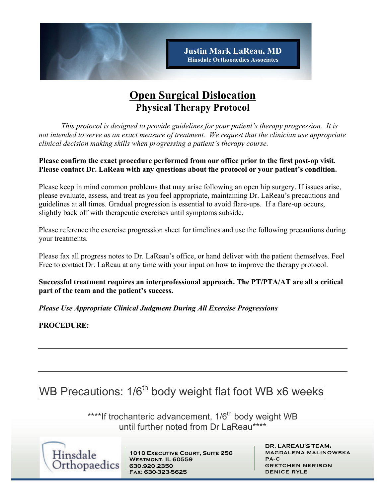

## **Open Surgical Dislocation Physical Therapy Protocol**

*This protocol is designed to provide guidelines for your patient's therapy progression. It is not intended to serve as an exact measure of treatment. We request that the clinician use appropriate clinical decision making skills when progressing a patient's therapy course.* 

#### **Please confirm the exact procedure performed from our office prior to the first post-op visit**. **Please contact Dr. LaReau with any questions about the protocol or your patient's condition.**

Please keep in mind common problems that may arise following an open hip surgery. If issues arise, please evaluate, assess, and treat as you feel appropriate, maintaining Dr. LaReau's precautions and guidelines at all times. Gradual progression is essential to avoid flare-ups. If a flare-up occurs, slightly back off with therapeutic exercises until symptoms subside.

Please reference the exercise progression sheet for timelines and use the following precautions during your treatments.

Please fax all progress notes to Dr. LaReau's office, or hand deliver with the patient themselves. Feel Free to contact Dr. LaReau at any time with your input on how to improve the therapy protocol.

**Successful treatment requires an interprofessional approach. The PT/PTA/AT are all a critical part of the team and the patient's success.**

*Please Use Appropriate Clinical Judgment During All Exercise Progressions*

**PROCEDURE:**

# WB Precautions: 1/6<sup>th</sup> body weight flat foot WB x6 weeks

\*\*\*\*If trochanteric advancement, 1/6<sup>th</sup> body weight WB until further noted from Dr LaReau\*\*\*\*



**1010 Executive Court, Suite 250 Westmont, IL 60559 630.920.2350 Fax: 630-323-5625**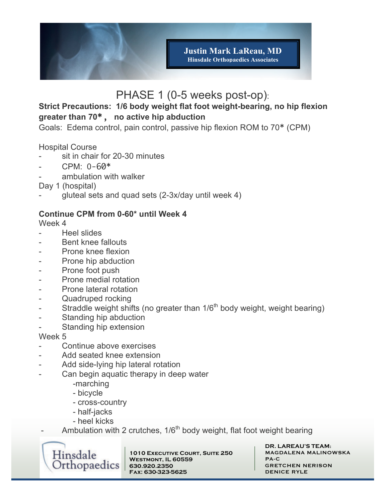

## PHASE 1 (0-5 weeks post-op):

### **Strict Precautions: 1/6 body weight flat foot weight-bearing, no hip flexion greater than 70**\*, **no active hip abduction**

Goals: Edema control, pain control, passive hip flexion ROM to 70\* (CPM)

Hospital Course

- sit in chair for 20-30 minutes
- $CPM: 0-60*$
- ambulation with walker

Day 1 (hospital)

gluteal sets and quad sets (2-3x/day until week 4)

#### **Continue CPM from 0-60\* until Week 4**

Week 4

- Heel slides
- Bent knee fallouts
- Prone knee flexion
- Prone hip abduction
- Prone foot push
- Prone medial rotation
- Prone lateral rotation
- Quadruped rocking
- Straddle weight shifts (no greater than  $1/6<sup>th</sup>$  body weight, weight bearing)
- Standing hip abduction
- Standing hip extension

Week 5

- Continue above exercises
- Add seated knee extension
- Add side-lying hip lateral rotation
- Can begin aquatic therapy in deep water
	- -marching
	- bicycle
	- cross-country
	- half-jacks
	- heel kicks
	- Ambulation with 2 crutches,  $1/6<sup>th</sup>$  body weight, flat foot weight bearing



**1010 Executive Court, Suite 250 Westmont, IL 60559 630.920.2350 Fax: 630-323-5625**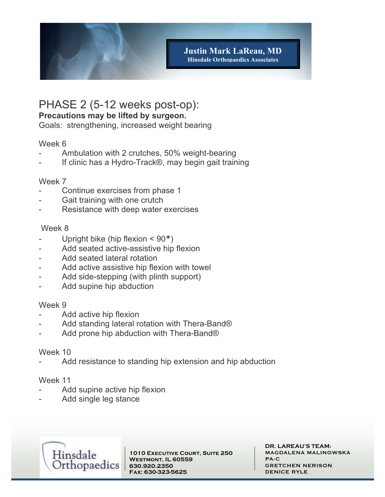

### PHASE 2 (5-12 weeks post-op):

#### **Precautions may be lifted by surgeon.**

Goals: strengthening, increased weight bearing

#### Week 6

- Ambulation with 2 crutches, 50% weight-bearing
- If clinic has a Hydro-Track®, may begin gait training

#### Week 7

- Continue exercises from phase 1
- Gait training with one crutch
- Resistance with deep water exercises

#### Week 8

- Upright bike (hip flexion  $\leq 90^*$ )
- Add seated active-assistive hip flexion
- Add seated lateral rotation
- Add active assistive hip flexion with towel
- Add side-stepping (with plinth support)
- Add supine hip abduction

#### Week 9

- Add active hip flexion
- Add standing lateral rotation with Thera-Band®
- Add prone hip abduction with Thera-Band®

#### Week 10

Add resistance to standing hip extension and hip abduction

#### Week 11

- Add supine active hip flexion
- Add single leg stance



**1010 Executive Court, Suite 250 Westmont, IL 60559 630.920.2350 Fax: 630-323-5625**